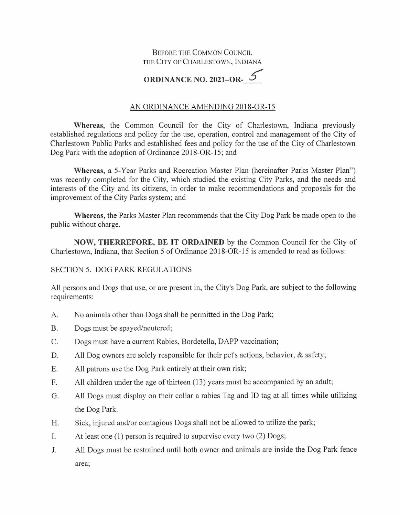Before the Common Council THE City of Charlestown, Indiana

## ORDINANCE NO. 2021-OR- $5$

## AN ORDINANCE AMENDING 2018-OR-15

Whereas, the Common Council for the City of Charlestown, Indiana previously established regulations and policy for the use, operation, control and management of the City of Charlestown Public Parks and established fees and policy for the use of the City of Charlestown Dog Park with the adoption of Ordinance 2018-OR-15; and

Whereas, a 5-Year Parks and Recreation Master Plan (hereinafter Parks Master Plan") was recently completed for the City, which studied the existing City Parks, and the needs and interests of the City and its citizens, in order to make recommendations and proposals for the improvement of the City Parks system; and

Whereas, the Parks Master Plan recommends that the City Dog Park be made open to the public without charge.

NOW, THERREFORE, BE IT ORDAINED by the Common Council for the City of Charlestown, Indiana, that Section 5 of Ordinance 2018-OR-15 is amended to read as follows:

## SECTION 5. DOG PARK REGULATIONS

All persons and Dogs that use, or are present in, the City's Dog Park, are subject to the following requirements:

- A. No animals other than Dogs shall be permitted in the Dog Park;
- B. Dogs must be spayed/neutered;
- C. Dogs must have a current Rabies, Bordetella, DAPP vaccination;
- D. All Dog owners are solely responsible for their pet's actions, behavior, & safety;
- E. All patrons use the Dog Park entirely at their own risk;
- F. All children under the age of thirteen (13) years must be accompanied by an adult;
- G. All Dogs must display on their collar a rabies Tag and ID tag at ail times while utilizing the Dog Park.
- H. Sick, injured and/or contagious Dogs shall not be allowed to utilize the park;
- I. At least one (1) person is required to supervise every two (2) Dogs;
- J. All Dogs must be restrained until both owner and animals are inside the Dog Park fence area;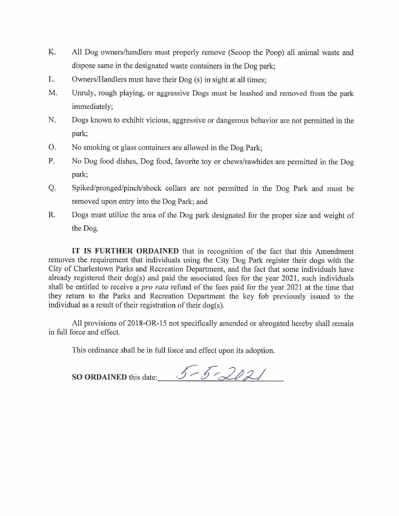- K. All Dog owners/handlers must properly remove (Scoop the Poop) all animal waste and dispose same in the designated waste containers in the Dog park;
- L. Owners/Handlers must have their Dog (s) in sight at all times;
- M. Unruly, rough playing, or aggressive Dogs must be leashed and removed from the park immediately;
- N. Dogs known to exhibit vicious, aggressive or dangerous behavior are not permitted in the park;
- O. No smoking or glass containers are allowed in the Dog Park;
- P. No Dog food dishes, Dog food, favorite toy or chews/rawhides are permitted in the Dog park;
- Q. Spiked/pronged/pinch/shock collars are not permitted in the Dog Park and must be removed upon entry into the Dog Park; and
- R. Dogs must utilize the area of the Dog park designated for the proper size and weight of the Dog.

IT IS FURTHER ORDAINED that in recognition of the fact that this Amendment removes the requirement that individuals using the City Dog Park register their dogs with the City of Charlestown Parks and Recreation Department, and the fact that some individuals have already registered their dog(s) and paid the associated fees for the year 2021, such individuals shall be entitled to receive a *pro rata* refund of the fees paid for the year 2021 at the time that they return to the Parks and Recreation Department the key fob previously issued to the individual as a result of their registration of their dog(s).

All provisions of 2018-OR-15 not specifically amended or abrogated hereby shall remain in full force and effect.

This ordinance shall be in full force and effect upon its adoption.

SO ORDAINED this date:  $5 - 5 - 202$